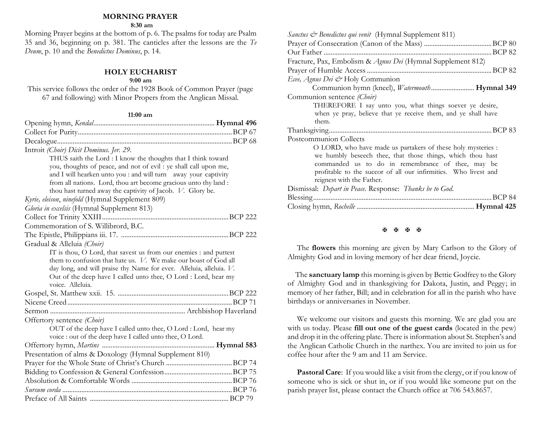## **MORNING PRAYER**

 **8:30 am**

Morning Prayer begins at the bottom of p. 6. The psalms for today are Psalm 35 and 36, beginning on p. 381. The canticles after the lessons are the *Te Deum*, p. 10 and the *Benedictus Dominus*, p. 14.

# **HOLY EUCHARIST**

## **9:00 am**

This service follows the order of the 1928 Book of Common Prayer (page 67 and following) with Minor Propers from the Anglican Missal.

### **11:00 am**

| Introit (Choir) Dicit Dominus. Jer. 29.                             |  |
|---------------------------------------------------------------------|--|
| THUS saith the Lord : I know the thoughts that I think toward       |  |
| you, thoughts of peace, and not of evil : ye shall call upon me,    |  |
| and I will hearken unto you : and will turn away your captivity     |  |
| from all nations. Lord, thou art become gracious unto thy land :    |  |
| thou hast turned away the captivity of Jacob. V. Glory be.          |  |
| Kyrie, eleison, ninefold (Hymnal Supplement 809)                    |  |
| Gloria in excelsis (Hymnal Supplement 813)                          |  |
|                                                                     |  |
| Commemoration of S. Willibrord, B.C.                                |  |
|                                                                     |  |
| Gradual & Alleluia (Choir)                                          |  |
| IT is thou, O Lord, that savest us from our enemies : and puttest   |  |
| them to confusion that hate us. V. We make our boast of God all     |  |
| day long, and will praise thy Name for ever. Alleluia, alleluia. V. |  |
| Out of the deep have I called unto thee, O Lord : Lord, hear my     |  |
| voice. Alleluia.                                                    |  |
|                                                                     |  |
|                                                                     |  |
|                                                                     |  |
| Offertory sentence (Choir)                                          |  |
| OUT of the deep have I called unto thee, O Lord : Lord, hear my     |  |
| voice : out of the deep have I called unto thee, O Lord.            |  |
|                                                                     |  |
| Presentation of alms & Doxology (Hymnal Supplement 810)             |  |
|                                                                     |  |
|                                                                     |  |
|                                                                     |  |
|                                                                     |  |
|                                                                     |  |

| <i>Sanctus &amp; Benedictus qui venit</i> (Hymnal Supplement 811) |
|-------------------------------------------------------------------|
|                                                                   |
|                                                                   |
| Fracture, Pax, Embolism & Agnus Dei (Hymnal Supplement 812)       |
|                                                                   |
| Ecee, Agnus Dei & Holy Communion                                  |
| Communion hymn (kneel), Watermouth Hymnal 349                     |
| Communion sentence (Choir)                                        |
| THEREFORE I say unto you, what things soever ye desire,           |
| when ye pray, believe that ye receive them, and ye shall have     |
| them.                                                             |
|                                                                   |
| Postcommunion Collects                                            |
| O LORD, who have made us partakers of these holy mysteries :      |
| we humbly beseech thee, that those things, which thou hast        |
| commanded us to do in remembrance of thee, may be                 |
| profitable to the succor of all our infirmities. Who livest and   |
| reignest with the Father.                                         |
| Dismissal: Depart in Peace. Response: Thanks be to God.           |
|                                                                   |
|                                                                   |

#### **K K K K**

The **flowers** this morning are given by Mary Carlson to the Glory of Almighty God and in loving memory of her dear friend, Joycie.

 The **sanctuary lamp** this morning is given by Bettie Godfrey to the Glory of Almighty God and in thanksgiving for Dakota, Justin, and Peggy; in memory of her father, Bill; and in celebration for all in the parish who have birthdays or anniversaries in November.

We welcome our visitors and guests this morning. We are glad you are with us today. Please **fill out one of the guest cards** (located in the pew) and drop it in the offering plate. There is information about St. Stephen's and the Anglican Catholic Church in the narthex. You are invited to join us for coffee hour after the 9 am and 11 am Service.

Pastoral Care: If you would like a visit from the clergy, or if you know of someone who is sick or shut in, or if you would like someone put on the parish prayer list, please contact the Church office at 706 543.8657.